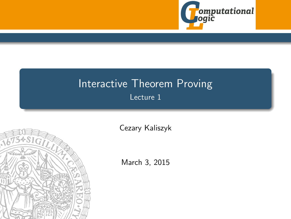

# <span id="page-0-0"></span>Interactive Theorem Proving Lecture 1



[Cezary Kaliszyk](http://cl-informatik.uibk.ac.at/~cek)

March 3, 2015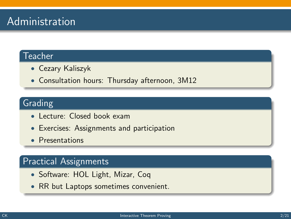# **Administration**

#### **Teacher**

- Cezary Kaliszyk
- Consultation hours: Thursday afternoon, 3M12

#### Grading

- Lecture: Closed book exam
- Exercises: Assignments and participation
- Presentations

#### Practical Assignments

- Software: HOL Light, Mizar, Coq
- RR but Laptops sometimes convenient.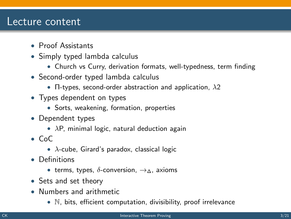### Lecture content

- Proof Assistants
- Simply typed lambda calculus
	- Church vs Curry, derivation formats, well-typedness, term finding
- Second-order typed lambda calculus
	- Π-types, second-order abstraction and application,  $\lambda$ 2
- Types dependent on types
	- Sorts, weakening, formation, properties
- Dependent types
	- $\lambda$ P, minimal logic, natural deduction again
- CoC
	- $\lambda$ -cube, Girard's paradox, classical logic
- Definitions
	- terms, types,  $\delta$ -conversion,  $\rightarrow$  $\Delta$ , axioms
- Sets and set theory
- Numbers and arithmetic
	- N, bits, efficient computation, divisibility, proof irrelevance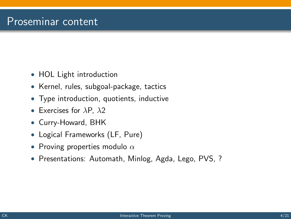### Proseminar content

- HOL Light introduction
- Kernel, rules, subgoal-package, tactics
- Type introduction, quotients, inductive
- Exercises for  $\lambda$ P,  $\lambda$ 2
- Curry-Howard, BHK
- Logical Frameworks (LF, Pure)
- Proving properties modulo  $\alpha$
- Presentations: Automath, Minlog, Agda, Lego, PVS, ?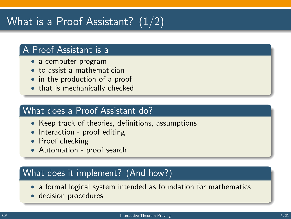# What is a Proof Assistant?  $(1/2)$

#### A Proof Assistant is a

- a computer program
- to assist a mathematician
- in the production of a proof
- that is mechanically checked

#### What does a Proof Assistant do?

- Keep track of theories, definitions, assumptions
- Interaction proof editing
- Proof checking
- Automation proof search

#### What does it implement? (And how?)

- a formal logical system intended as foundation for mathematics
- decision procedures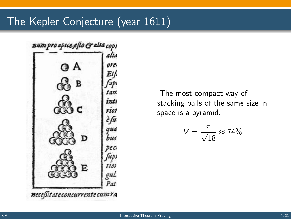Bum pro apice, efto & alsa copi alis ore. ΘA Et B tan inti riot qua מ bus DCC u b. t107 E guL Pat necessitate concurrente cumra

The most compact way of stacking balls of the same size in space is a pyramid.

$$
V=\frac{\pi}{\sqrt{18}}\approx 74\%
$$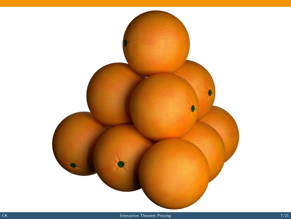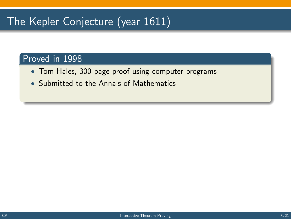# The Kepler Conjecture (year 1611)

### Proved in 1998

- Tom Hales, 300 page proof using computer programs
- Submitted to the Annals of Mathematics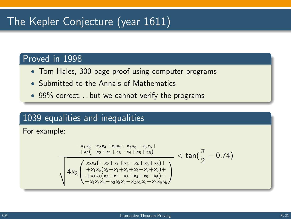# The Kepler Conjecture (year 1611)

#### Proved in 1998

- Tom Hales, 300 page proof using computer programs
- Submitted to the Annals of Mathematics
- 99% correct... but we cannot verify the programs

#### 1039 equalities and inequalities

For example:

$$
\frac{-x_1x_3-x_2x_4+x_1x_5+x_3x_6-x_5x_6+}{+x_2(-x_2+x_1+x_3-x_4+x_5+x_6)}<\tan(\frac{\pi}{2}-0.74)\\ \sqrt{4x_2\left(\begin{smallmatrix} \frac{x_2x_4(-x_2+x_1+x_3-x_4+x_5+x_6)+}{+x_1x_5(x_2-x_1+x_3+x_4-x_5+x_6)+}\\ +x_3x_6(x_2+x_1-x_3+x_4+x_5-x_6)-\\ -x_1x_3x_4-x_2x_3x_5-x_2x_1x_6-x_4x_5x_6 \end{smallmatrix}\right)}
$$
\leq 1
$$
$$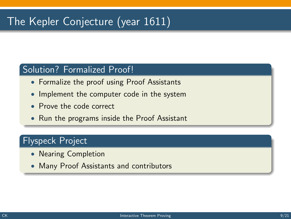# The Kepler Conjecture (year 1611)

#### Solution? Formalized Proof!

- Formalize the proof using Proof Assistants
- Implement the computer code in the system
- Prove the code correct
- Run the programs inside the Proof Assistant

#### Flyspeck Project

- Nearing Completion
- Many Proof Assistants and contributors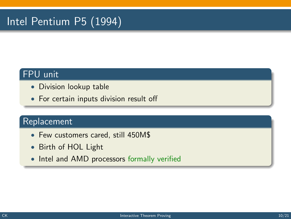# Intel Pentium P5 (1994)

#### FPU unit

- Division lookup table
- For certain inputs division result off

### Replacement

- Few customers cared, still 450M\$
- Birth of HOL Light
- Intel and AMD processors formally verified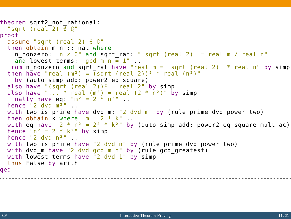```
theorem sart2 not rational:
"sart (real 2) \overline{\mathfrak{C}} 0"
proof
 assume "sart (real 2) \in \mathbb{O}^nthen obtain m n :: nat where
    n nonzero: "n \neq 0" and sqrt rat: "|sqrt (real 2)| = real m / real n"
    and lowest terms: "gcd m n = 1".
 from n nonzero and sqrt rat have "real m = \sqrt{q} | treal 2) \frac{1}{2} * real n" by simp
 then have "real (m<sup>2</sup>) = \sqrt{2} sqrt (real 2))<sup>2</sup> * real (n<sup>2</sup>)"
    by (auto simp add: power2 eq square)
 also have "(sqrt (real 2))<sup>2</sup> = real 2" by simp
 also have "... * real (m^2) = real (2 * n^2)" by simp
 finally have eq: ^{\circ} m<sup>2</sup> = 2 ^{\circ} n<sup>2</sup> ...
 hence \frac{1}{2} dvd m^2"
 with two is prime have dvd m: "2 dvd m" by (rule prime dvd power two)
 then obtain \overline{k} where "m = 2^{-*} k"
 with eq have "2 * n^2 = 2^2 * k^2" by (auto simp add: power2 eq square mult ac)
 hence "n^2 = 2 * k^2" by simp
 hence "2 dvd n^2" ..
 with two is prime have "2 dvd n" by (rule prime dvd power two)
 with d\overline{d} m have "2 d\overline{d} and d\overline{m} m" by (rule gcd greatest)
 with lowest terms have \overline{P} 2 dvd 1" by simp
 thus False \overline{b}v arith
ded
```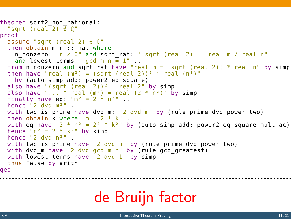```
theorem sart2 not rational:
 "sart (real 2) \overline{\mathfrak{C}} 0"
proof
 assume "sart (real 2) \in \mathbb{O}^nthen obtain m n \cdot at where
    n nonzero: "n \neq 0" and sqrt rat: "|sqrt (real 2)| = real m / real n"
    and lowest terms: "gcd m n = 1".
 from n nonzero and sqrt rat have "real m = \sqrt{q} | treal 2) \frac{1}{2} * real n" by simp
 then have "real (m<sup>2</sup>) = \sqrt{2} sqrt (real 2))<sup>2</sup> * real (n<sup>2</sup>)"
    by (auto simp add: power2 eq square)
 also have "(sqrt (real 2))<sup>2</sup> = real 2" by simp
 also have "... * real (m^2) = real (2 * n^2)" by simp
 finally have eq: ^{\circ} m<sup>2</sup> = 2 ^{\circ} n<sup>2</sup> ...
 hence \frac{1}{2} dvd m^2".
 with two is prime have dvd_m: "2 dvd m" by (rule prime_dvd_power_two)
 then obtain \overline{k} where "m = 2^{-*} k"
 with eq have "2 * n^2 = 2^2 * k^2" by (auto simp add: power2 eq square mult ac)
 hence "n^2 = 2 * k^2" by simp
 hence "2 dvd n^2".
 with two is prime have "2 dvd n" by (rule prime dvd power two)
 with dvd m have "2 dvd gcd m n" by (rule gcd greatest)
 with lowest_terms have "2 dvd 1" by simp
 thus False \overline{b}v arith
ded
```
# de Bruijn factor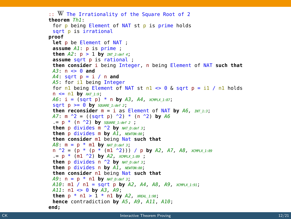```
\therefore W The Irrationality of the Square Root of 2
theorem Th<sub>1</sub>:
 for p being Element of NAT st p is prime holds
 sqrt p is irrational
proof
 Let p be Element of NAT ;
 \overline{A} D \overline{A} D \overline{B} D \overline{B} D \overline{C} D \overline{D} D \overline{D} D \overline{D} D \overline{D} D \overline{D} D \overline{D} D \overline{D} D \overline{D} D \overline{D} D \overline{D} D \overline{D} D \overline{D} D 
 then A2: p > 1 by INT 2: def 4;
 assume sqrt p is rational;
 then consider i being Integer, n being Element of NAT such that
 A3: n \leq 0 and
 A4: sqrt p = i / n and
 A5: for il being Integer
 for nl being Element of NAT st nl \approx 0 & sart p = il / nl holds
 n \leq n1 by RAT_1.9;
 A6: i = (sqrt p) * n by A3, A4, xompLx 1:87;\text{sort } D \geq 0 by SOUARE 1:def 2:
 then reconsider m = i as Element of NAT by A6. mr \rightarrow 3;
 A7: m^2 = ((sqrt p)^2) * (n^2) by A6= p * (n \rightharpoonup 2) by square 1:def 2;
 then p divides m \sim 2 by NAT D:def 3;
 then p divides m bv Al. NEWTON:80:
 then consider ml being Nat such that
 A8: m = p * m1 by NAT D: def 3:
 n \hat{P} = (p * (p * (m1 \hat{P}))) / p by A2, A7, A8, xaypux 1:89
  p * (m1 \t2) by A2, xcMPLX 1:89 ;
 then p divides n \uparrow 2 by NAT D:def 3:
 then p divides n by A1, NEWTON:80;
 then consider nl being Nat such that
 A9: n = p * n1 by NAT D:def 3;
 A10: ml / nl = sqrt p by A2, A4, A8, A9, XCMPLX 1:91;
 A11: n1 \iff 0 by A3, A9;then p * n1 > 1 * n1 by A2, x_{REAL 1:98};
 hence contradiction by A5, A9, A11, A10:
end:
```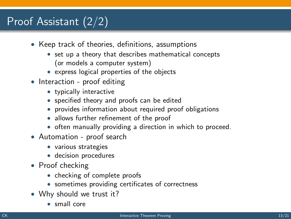# Proof Assistant (2/2)

- Keep track of theories, definitions, assumptions
	- set up a theory that describes mathematical concepts (or models a computer system)
	- express logical properties of the objects
- Interaction proof editing
	- typically interactive
	- specified theory and proofs can be edited
	- provides information about required proof obligations
	- allows further refinement of the proof
	- often manually providing a direction in which to proceed.
- Automation proof search
	- various strategies
	- decision procedures
- Proof checking
	- checking of complete proofs
	- sometimes providing certificates of correctness
- Why should we trust it?
	- small core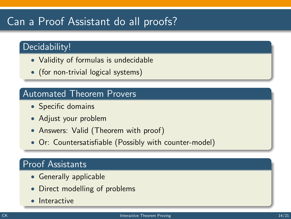# Can a Proof Assistant do all proofs?

### Decidability!

- Validity of formulas is undecidable
- (for non-trivial logical systems)

#### Automated Theorem Provers

- Specific domains
- Adjust your problem
- Answers: Valid (Theorem with proof)
- Or: Countersatisfiable (Possibly with counter-model)

#### Proof Assistants

- Generally applicable
- Direct modelling of problems
- Interactive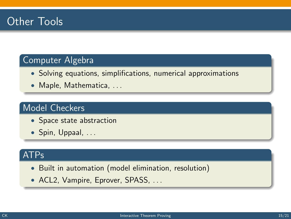#### Computer Algebra

- Solving equations, simplifications, numerical approximations
- Maple, Mathematica, . . .

### Model Checkers

- Space state abstraction
- Spin, Uppaal, . . .

#### ATPs

- Built in automation (model elimination, resolution)
- ACL2, Vampire, Eprover, SPASS, ...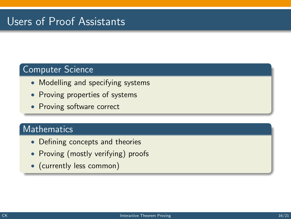### Users of Proof Assistants

#### Computer Science

- Modelling and specifying systems
- Proving properties of systems
- Proving software correct

#### **Mathematics**

- Defining concepts and theories
- Proving (mostly verifying) proofs
- (currently less common)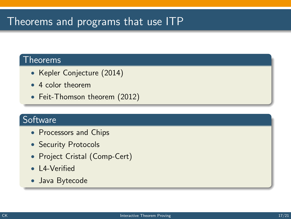### Theorems and programs that use ITP

#### Theorems

- Kepler Conjecture (2014)
- 4 color theorem
- Feit-Thomson theorem (2012)

### **Software**

- Processors and Chips
- Security Protocols
- Project Cristal (Comp-Cert)
- L4-Verified
- Java Bytecode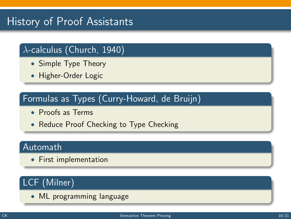# History of Proof Assistants

### $\lambda$ -calculus (Church, 1940)

- Simple Type Theory
- Higher-Order Logic

### Formulas as Types (Curry-Howard, de Bruijn)

- Proofs as Terms
- Reduce Proof Checking to Type Checking

#### Automath

• First implementation

### LCF (Milner)

• ML programming language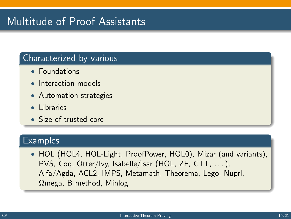### Multitude of Proof Assistants

#### Characterized by various

- Foundations
- Interaction models
- Automation strategies
- Libraries
- Size of trusted core

#### **Examples**

• HOL (HOL4, HOL-Light, ProofPower, HOL0), Mizar (and variants), PVS, Coq, Otter/Ivy, Isabelle/Isar (HOL, ZF, CTT, . . . ), Alfa/Agda, ACL2, IMPS, Metamath, Theorema, Lego, Nuprl, Ωmega, B method, Minlog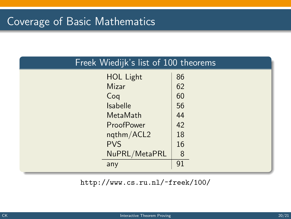## Coverage of Basic Mathematics

| Freek Wiedijk's list of 100 theorems |    |
|--------------------------------------|----|
| <b>HOL Light</b>                     | 86 |
| Mizar                                | 62 |
| Coq                                  | 60 |
| <b>Isabelle</b>                      | 56 |
| MetaMath                             | 44 |
| ProofPower                           | 42 |
| nqthm/ACL2                           | 18 |
| <b>PVS</b>                           | 16 |
| NuPRL/MetaPRL                        | 8  |
| any                                  | 91 |

<http://www.cs.ru.nl/~freek/100/>